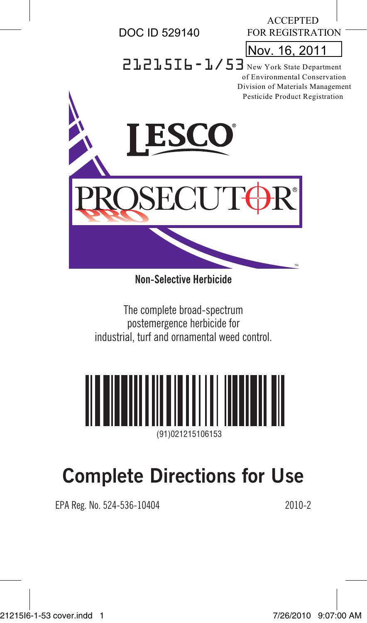DOC ID 529140

ACCEPTED FOR REGISTRATION

<u>Nov. 16, 2011</u>

21215I6-1/53 New York State Department of Environmental Conservation Division of Materials Management Pesticide Product Registration



**Non-Selective Herbicide**

The complete broad-spectrum postemergence herbicide for industrial, turf and ornamental weed control.



(91)021215106153

### **Complete Directions for Use**

EPA Reg. No. 524-536-10404 2010-2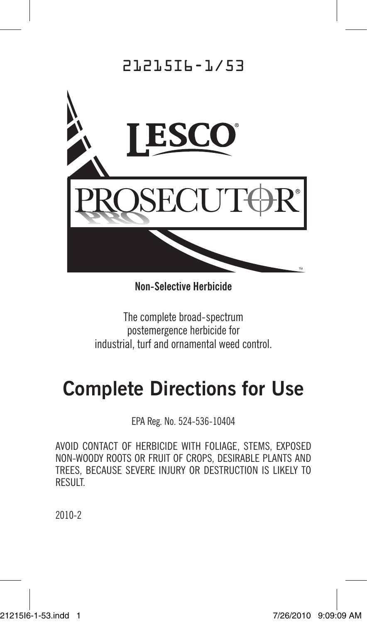

21215I6-1/53

**Non-Selective Herbicide**

The complete broad-spectrum postemergence herbicide for industrial, turf and ornamental weed control.

### **Complete Directions for Use**

EPA Reg. No. 524-536-10404

AVOID CONTACT OF HERBICIDE WITH FOLIAGE, STEMS, EXPOSED NON-WOODY ROOTS OR FRUIT OF CROPS, DESIRABLE PLANTS AND TREES, BECAUSE SEVERE INJURY OR DESTRUCTION IS LIKELY TO RESULT.

2010-2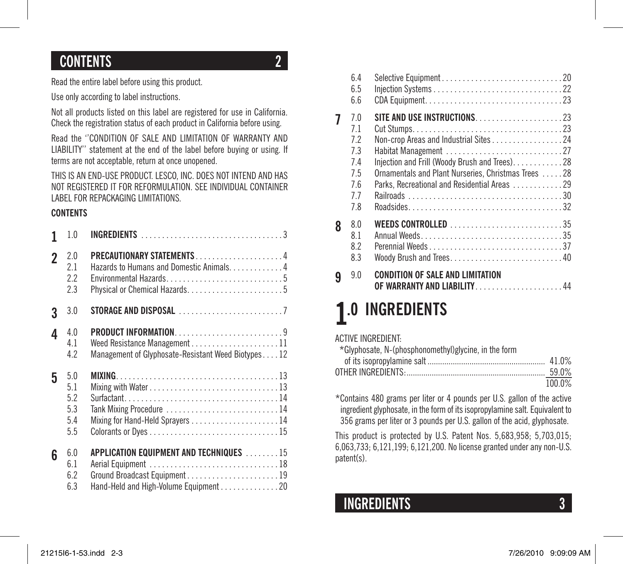### **CONTENTS 2**

Read the entire label before using this product.

Use only according to label instructions.

Not all products listed on this label are registered for use in California. Check the registration status of each product in California before using.

Read the ''CONDITION OF SALE AND LIMITATION OF WARRANTY AND LIABILITY'' statement at the end of the label before buying or using. If terms are not acceptable, return at once unopened.

THIS IS AN END-USE PRODUCT. LESCO, INC. DOES NOT INTEND AND HAS NOT REGISTERED IT FOR REFORMULATION. SEE INDIVIDUAL CONTAINER LABEL FOR REPACKAGING LIMITATIONS.

#### **CONTENTS**

| 1              | 1.0                                    | <b>INGREDIENTS</b> 3                                                                     |
|----------------|----------------------------------------|------------------------------------------------------------------------------------------|
| $\overline{2}$ | 2.0<br>21<br>22<br>2.3                 | <b>PRECAUTIONARY STATEMENTS4</b><br>Hazards to Humans and Domestic Animals. 4            |
| 3              | 3.0                                    |                                                                                          |
| 4              | 4.0<br>4.1<br>4.2                      | Weed Resistance Management11<br>Management of Glyphosate-Resistant Weed Biotypes12       |
| 5              | 5.0<br>5.1<br>5.2<br>5.3<br>5.4<br>5.5 | Tank Mixing Procedure 14                                                                 |
| 6              | 60<br>6.1<br>6.2<br>6.3                | <b>APPLICATION EQUIPMENT AND TECHNIQUES</b> 15<br>Hand-Held and High-Volume Equipment 20 |

|   | 6.4<br>6.5<br>6.6                                       |                                                                                                                                                                                                  |
|---|---------------------------------------------------------|--------------------------------------------------------------------------------------------------------------------------------------------------------------------------------------------------|
| 7 | 7.0<br>7.1<br>72<br>73<br>7.4<br>7.5<br>7.6<br>77<br>78 | Non-crop Areas and Industrial Sites 24<br>Injection and Frill (Woody Brush and Trees). 28<br>Ornamentals and Plant Nurseries, Christmas Trees 28<br>Parks, Recreational and Residential Areas 29 |
| 8 | 8.0<br>81<br>8.2<br>8.3                                 | Perennial Weeds37<br>Woody Brush and Trees40                                                                                                                                                     |
| 9 | 9.0                                                     | <b>CONDITION OF SALE AND LIMITATION</b>                                                                                                                                                          |
|   |                                                         | <b>INADEDIFNT</b>                                                                                                                                                                                |

## **1.0 INGREDIENTS**

#### ACTIVE INGREDIENT:

| *Glyphosate, N-(phosphonomethyl) glycine, in the form |        |
|-------------------------------------------------------|--------|
|                                                       |        |
|                                                       |        |
|                                                       | 100.0% |

\*Contains 480 grams per liter or 4 pounds per U.S. gallon of the active ingredient glyphosate, in the form of its isopropylamine salt. Equivalent to 356 grams per liter or 3 pounds per U.S. gallon of the acid, glyphosate.

This product is protected by U.S. Patent Nos. 5,683,958; 5,703,015; 6,063,733; 6,121,199; 6,121,200. No license granted under any non-U.S. patent(s).

### **ingredients 3**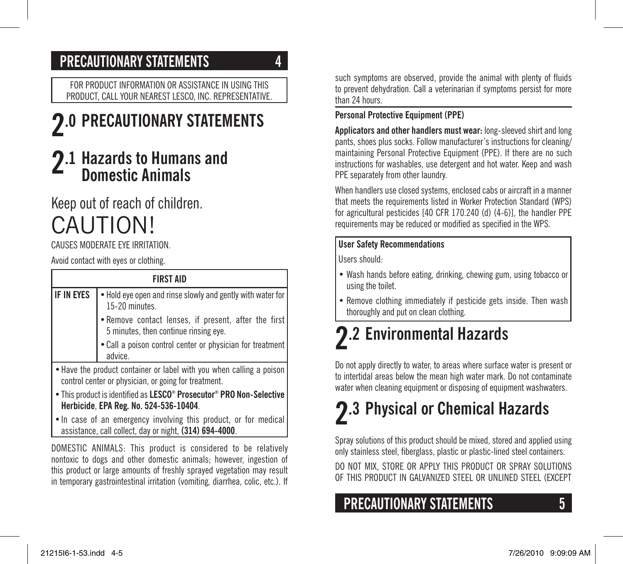### **Precautionary statements 4**

FOR PRODUCT INFORMATION OR ASSISTANCE IN USING THIS PRODUCT, CALL YOUR NEAREST LESCO, INC. REPRESENTATIVE.

# **2.0 PRECAUTIONARY STATEMENTS**

# **2.1 Hazards to Humans and Domestic Animals**

### Keep out of reach of children. CAUTION!

CAUSES MODERATE EYE IRRITATION.

Avoid contact with eyes or clothing.

| <b>FIRST AID</b>                                                                                                                       |                                                                              |  |  |  |  |
|----------------------------------------------------------------------------------------------------------------------------------------|------------------------------------------------------------------------------|--|--|--|--|
| <b>IF IN EYES</b>                                                                                                                      | • Hold eye open and rinse slowly and gently with water for<br>15-20 minutes. |  |  |  |  |
| . Remove contact lenses, if present, after the first<br>5 minutes, then continue rinsing eye.                                          |                                                                              |  |  |  |  |
|                                                                                                                                        | • Call a poison control center or physician for treatment<br>advice.         |  |  |  |  |
| • Have the product container or label with you when calling a poison<br>control center or physician, or going for treatment.           |                                                                              |  |  |  |  |
| • This product is identified as LESCO <sup>®</sup> Prosecutor <sup>®</sup> PRO Non-Selective<br>Herbicide, EPA Reg. No. 524-536-10404. |                                                                              |  |  |  |  |
| • In case of an emergency involving this product or for medical                                                                        |                                                                              |  |  |  |  |

• In case of an emergency involving this product, or for medical assistance, call collect, day or night, **(314) 694-4000**.

DOMESTIC ANIMALS: This product is considered to be relatively nontoxic to dogs and other domestic animals; however, ingestion of this product or large amounts of freshly sprayed vegetation may result in temporary gastrointestinal irritation (vomiting, diarrhea, colic, etc.). If such symptoms are observed, provide the animal with plenty of fluids to prevent dehydration. Call a veterinarian if symptoms persist for more than 24 hours.

#### **Personal Protective Equipment (PPE)**

**Applicators and other handlers must wear:** long-sleeved shirt and long pants, shoes plus socks. Follow manufacturer's instructions for cleaning/ maintaining Personal Protective Equipment (PPE). If there are no such instructions for washables, use detergent and hot water. Keep and wash PPE separately from other laundry.

When handlers use closed systems, enclosed cabs or aircraft in a manner that meets the requirements listed in Worker Protection Standard (WPS) for agricultural pesticides [40 CFR 170.240 (d) (4-6)], the handler PPE requirements may be reduced or modified as specified in the WPS.

#### **User Safety Recommendations**

Users should:

- �Wash hands before eating, drinking, chewing gum, using tobacco or using the toilet.
- �Remove clothing immediately if pesticide gets inside. Then wash thoroughly and put on clean clothing.

# **2.2 Environmental Hazards**

Do not apply directly to water, to areas where surface water is present or to intertidal areas below the mean high water mark. Do not contaminate water when cleaning equipment or disposing of equipment washwaters.

# **2.3 Physical or Chemical Hazards**

Spray solutions of this product should be mixed, stored and applied using only stainless steel, fiberglass, plastic or plastic-lined steel containers.

DO NOT MIX, STORE OR APPLY THIS PRODUCT OR SPRAY SOLUTIONS OF THIS PRODUCT IN GALVANIZED STEEL OR UNLINED STEEL (EXCEPT

### **Precautionary statements 5**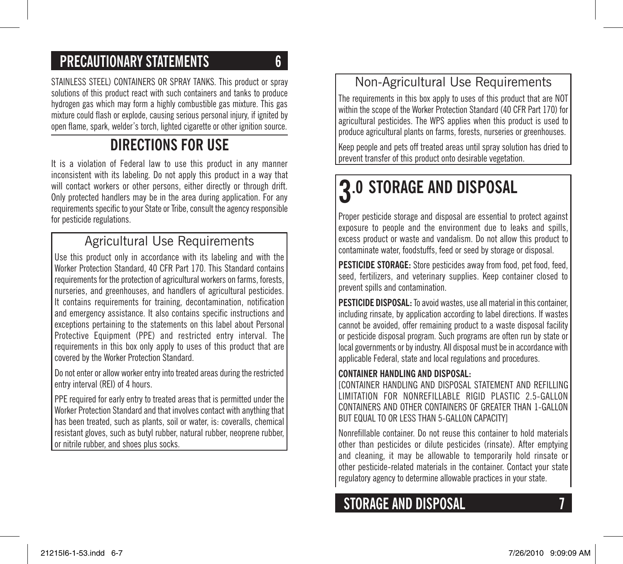### **Precautionary statements 6**

STAINLESS STEEL) CONTAINERS OR SPRAY TANKS. This product or spray solutions of this product react with such containers and tanks to produce hydrogen gas which may form a highly combustible gas mixture. This gas mixture could flash or explode, causing serious personal injury, if ignited by open flame, spark, welder's torch, lighted cigarette or other ignition source.

### **DIRECTIONS FOR USE**

It is a violation of Federal law to use this product in any manner inconsistent with its labeling. Do not apply this product in a way that will contact workers or other persons, either directly or through drift. Only protected handlers may be in the area during application. For any requirements specific to your State or Tribe, consult the agency responsible for pesticide regulations.

### Agricultural Use Requirements

Use this product only in accordance with its labeling and with the Worker Protection Standard, 40 CFR Part 170. This Standard contains requirements for the protection of agricultural workers on farms, forests, nurseries, and greenhouses, and handlers of agricultural pesticides. It contains requirements for training, decontamination, notification and emergency assistance. It also contains specific instructions and exceptions pertaining to the statements on this label about Personal Protective Equipment (PPE) and restricted entry interval. The requirements in this box only apply to uses of this product that are covered by the Worker Protection Standard.

Do not enter or allow worker entry into treated areas during the restricted entry interval (REI) of 4 hours.

PPE required for early entry to treated areas that is permitted under the Worker Protection Standard and that involves contact with anything that has been treated, such as plants, soil or water, is: coveralls, chemical resistant gloves, such as butyl rubber, natural rubber, neoprene rubber, or nitrile rubber, and shoes plus socks.

### Non-Agricultural Use Requirements

The requirements in this box apply to uses of this product that are NOT within the scope of the Worker Protection Standard (40 CFR Part 170) for agricultural pesticides. The WPS applies when this product is used to produce agricultural plants on farms, forests, nurseries or greenhouses.

Keep people and pets off treated areas until spray solution has dried to prevent transfer of this product onto desirable vegetation.

# **3.0 STORAGE AND DISPOSAL**

Proper pesticide storage and disposal are essential to protect against exposure to people and the environment due to leaks and spills, excess product or waste and vandalism. Do not allow this product to contaminate water, foodstuffs, feed or seed by storage or disposal.

**PESTICIDE STORAGE:** Store pesticides away from food, pet food, feed, seed, fertilizers, and veterinary supplies. Keep container closed to prevent spills and contamination.

**PESTICIDE DISPOSAL:** To avoid wastes, use all material in this container, including rinsate, by application according to label directions. If wastes cannot be avoided, offer remaining product to a waste disposal facility or pesticide disposal program. Such programs are often run by state or local governments or by industry. All disposal must be in accordance with applicable Federal, state and local regulations and procedures.

#### **CONTAINER HANDLING AND DISPOSAL:**

[CONTAINER HANDLING AND DISPOSAL STATEMENT AND REFILLING LIMITATION FOR NONREFILLABLE RIGID PLASTIC 2.5-GALLON CONTAINERS AND OTHER CONTAINERS OF GREATER THAN 1-GALLON BUT EQUAL TO OR LESS THAN 5-GALLON CAPACITY]

Nonrefillable container. Do not reuse this container to hold materials other than pesticides or dilute pesticides (rinsate). After emptying and cleaning, it may be allowable to temporarily hold rinsate or other pesticide-related materials in the container. Contact your state regulatory agency to determine allowable practices in your state.

### **storage and disposal 7**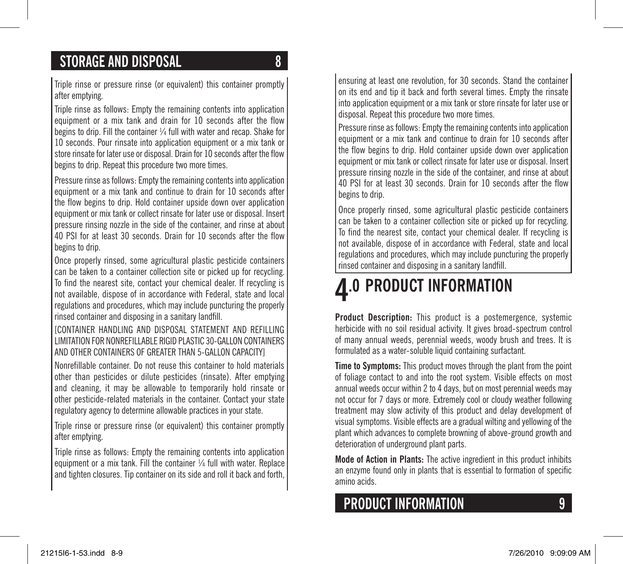### **storage and disposal 8**

Triple rinse or pressure rinse (or equivalent) this container promptly after emptying.

Triple rinse as follows: Empty the remaining contents into application equipment or a mix tank and drain for 10 seconds after the flow begins to drip. Fill the container ¼ full with water and recap. Shake for 10 seconds. Pour rinsate into application equipment or a mix tank or store rinsate for later use or disposal. Drain for 10 seconds after the flow begins to drip. Repeat this procedure two more times.

Pressure rinse as follows: Empty the remaining contents into application equipment or a mix tank and continue to drain for 10 seconds after the flow begins to drip. Hold container upside down over application equipment or mix tank or collect rinsate for later use or disposal. Insert pressure rinsing nozzle in the side of the container, and rinse at about 40 PSI for at least 30 seconds. Drain for 10 seconds after the flow begins to drip.

Once properly rinsed, some agricultural plastic pesticide containers can be taken to a container collection site or picked up for recycling. To find the nearest site, contact your chemical dealer. If recycling is not available, dispose of in accordance with Federal, state and local regulations and procedures, which may include puncturing the properly rinsed container and disposing in a sanitary landfill.

[CONTAINER HANDLING AND DISPOSAL STATEMENT AND REFILLING LIMITATION FOR NONREFILLABLE RIGID PLASTIC 30-GALLON CONTAINERS AND OTHER CONTAINERS OF GREATER THAN 5-GALLON CAPACITY]

Nonrefillable container. Do not reuse this container to hold materials other than pesticides or dilute pesticides (rinsate). After emptying and cleaning, it may be allowable to temporarily hold rinsate or other pesticide-related materials in the container. Contact your state regulatory agency to determine allowable practices in your state.

Triple rinse or pressure rinse (or equivalent) this container promptly after emptying.

Triple rinse as follows: Empty the remaining contents into application equipment or a mix tank. Fill the container  $\frac{1}{4}$  full with water. Replace and tighten closures. Tip container on its side and roll it back and forth, ensuring at least one revolution, for 30 seconds. Stand the container on its end and tip it back and forth several times. Empty the rinsate into application equipment or a mix tank or store rinsate for later use or disposal. Repeat this procedure two more times.

Pressure rinse as follows: Empty the remaining contents into application equipment or a mix tank and continue to drain for 10 seconds after the flow begins to drip. Hold container upside down over application equipment or mix tank or collect rinsate for later use or disposal. Insert pressure rinsing nozzle in the side of the container, and rinse at about 40 PSI for at least 30 seconds. Drain for 10 seconds after the flow begins to drip.

Once properly rinsed, some agricultural plastic pesticide containers can be taken to a container collection site or picked up for recycling. To find the nearest site, contact your chemical dealer. If recycling is not available, dispose of in accordance with Federal, state and local regulations and procedures, which may include puncturing the properly rinsed container and disposing in a sanitary landfill.

## **4.0 PRODUCT INFORMATION**

**Product Description:** This product is a postemergence, systemic herbicide with no soil residual activity. It gives broad-spectrum control of many annual weeds, perennial weeds, woody brush and trees. It is formulated as a water-soluble liquid containing surfactant.

**Time to Symptoms:** This product moves through the plant from the point of foliage contact to and into the root system. Visible effects on most annual weeds occur within 2 to 4 days, but on most perennial weeds may not occur for 7 days or more. Extremely cool or cloudy weather following treatment may slow activity of this product and delay development of visual symptoms. Visible effects are a gradual wilting and yellowing of the plant which advances to complete browning of above-ground growth and deterioration of underground plant parts.

**Mode of Action in Plants:** The active ingredient in this product inhibits an enzyme found only in plants that is essential to formation of specific amino acids.

### **Product information 9**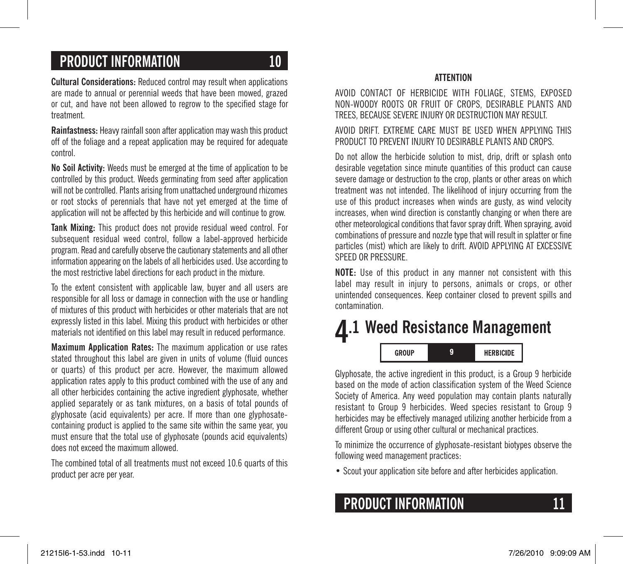### PRODUCT INFORMATION **10**

**Cultural Considerations:** Reduced control may result when applications are made to annual or perennial weeds that have been mowed, grazed or cut, and have not been allowed to regrow to the specified stage for treatment.

**Rainfastness:** Heavy rainfall soon after application may wash this product off of the foliage and a repeat application may be required for adequate control.

**No Soil Activity:** Weeds must be emerged at the time of application to be controlled by this product. Weeds germinating from seed after application will not be controlled. Plants arising from unattached underground rhizomes or root stocks of perennials that have not yet emerged at the time of application will not be affected by this herbicide and will continue to grow.

**Tank Mixing:** This product does not provide residual weed control. For subsequent residual weed control, follow a label-approved herbicide program. Read and carefully observe the cautionary statements and all other information appearing on the labels of all herbicides used. Use according to the most restrictive label directions for each product in the mixture.

To the extent consistent with applicable law, buyer and all users are responsible for all loss or damage in connection with the use or handling of mixtures of this product with herbicides or other materials that are not expressly listed in this label. Mixing this product with herbicides or other materials not identified on this label may result in reduced performance.

**Maximum Application Rates:** The maximum application or use rates stated throughout this label are given in units of volume (fluid ounces or quarts) of this product per acre. However, the maximum allowed application rates apply to this product combined with the use of any and all other herbicides containing the active ingredient glyphosate, whether applied separately or as tank mixtures, on a basis of total pounds of glyphosate (acid equivalents) per acre. If more than one glyphosatecontaining product is applied to the same site within the same year, you must ensure that the total use of glyphosate (pounds acid equivalents) does not exceed the maximum allowed.

The combined total of all treatments must not exceed 10.6 quarts of this product per acre per year.

#### **ATTENTION**

AVOID CONTACT OF HERBICIDE WITH FOLIAGE, STEMS, EXPOSED NON-WOODY ROOTS OR FRUIT OF CROPS, DESIRABLE PLANTS AND TREES, BECAUSE SEVERE INJURY OR DESTRUCTION MAY RESULT.

AVOID DRIFT. EXTREME CARE MUST BE USED WHEN APPLYING THIS PRODUCT TO PREVENT INJURY TO DESIRABLE PLANTS AND CROPS.

Do not allow the herbicide solution to mist, drip, drift or splash onto desirable vegetation since minute quantities of this product can cause severe damage or destruction to the crop, plants or other areas on which treatment was not intended. The likelihood of injury occurring from the use of this product increases when winds are gusty, as wind velocity increases, when wind direction is constantly changing or when there are other meteorological conditions that favor spray drift. When spraying, avoid combinations of pressure and nozzle type that will result in splatter or fine particles (mist) which are likely to drift. AVOID APPLYING AT EXCESSIVE SPEED OR PRESSURF

**NOTE:** Use of this product in any manner not consistent with this label may result in injury to persons, animals or crops, or other unintended consequences. Keep container closed to prevent spills and contamination.

# **4.1 Weed Resistance Management**<br> **Example 20 AMBRANE**

Glyphosate, the active ingredient in this product, is a Group 9 herbicide based on the mode of action classification system of the Weed Science Society of America. Any weed population may contain plants naturally resistant to Group 9 herbicides. Weed species resistant to Group 9 herbicides may be effectively managed utilizing another herbicide from a different Group or using other cultural or mechanical practices.

To minimize the occurrence of glyphosate-resistant biotypes observe the following weed management practices:

 �Scout your application site before and after herbicides application.

### **PRODUCT INFORMATION** 11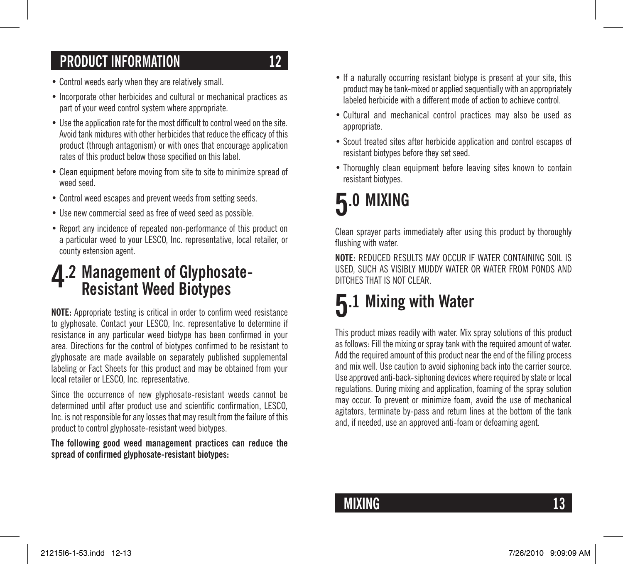### **PRODUCT INFORMATION 12**

- �Control weeds early when they are relatively small.
- �Incorporate other herbicides and cultural or mechanical practices as part of your weed control system where appropriate.
- �Use the application rate for the most difficult to control weed on the site. Avoid tank mixtures with other herbicides that reduce the efficacy of this product (through antagonism) or with ones that encourage application rates of this product below those specified on this label.
- �Clean equipment before moving from site to site to minimize spread of weed seed.
- �Control weed escapes and prevent weeds from setting seeds.
- �Use new commercial seed as free of weed seed as possible.
- �Report any incidence of repeated non-performance of this product on a particular weed to your LESCO, Inc. representative, local retailer, or county extension agent.

# **4.2 Management of Glyphosate- Resistant Weed Biotypes**

**NOTE:** Appropriate testing is critical in order to confirm weed resistance to glyphosate. Contact your LESCO, Inc. representative to determine if resistance in any particular weed biotype has been confirmed in your area. Directions for the control of biotypes confirmed to be resistant to glyphosate are made available on separately published supplemental labeling or Fact Sheets for this product and may be obtained from your local retailer or LESCO, Inc. representative.

Since the occurrence of new glyphosate-resistant weeds cannot be determined until after product use and scientific confirmation, LESCO, Inc. is not responsible for any losses that may result from the failure of this product to control glyphosate-resistant weed biotypes.

#### **The following good weed management practices can reduce the spread of confirmed glyphosate-resistant biotypes:**

- If a naturally occurring resistant biotype is present at your site, this product may be tank-mixed or applied sequentially with an appropriately labeled herbicide with a different mode of action to achieve control.
- �Cultural and mechanical control practices may also be used as appropriate.
- Scout treated sites after herbicide application and control escapes of resistant biotypes before they set seed.
- Thoroughly clean equipment before leaving sites known to contain resistant biotypes.

# **5.0 MIXING**

Clean sprayer parts immediately after using this product by thoroughly flushing with water.

**NOTE:** REDUCED RESULTS MAY OCCUR IF WATER CONTAINING SOIL IS USED, SUCH AS VISIBLY MUDDY WATER OR WATER FROM PONDS AND DITCHES THAT IS NOT CLEAR.

# **5.1 Mixing with Water**

This product mixes readily with water. Mix spray solutions of this product as follows: Fill the mixing or spray tank with the required amount of water. Add the required amount of this product near the end of the filling process and mix well. Use caution to avoid siphoning back into the carrier source. Use approved anti-back-siphoning devices where required by state or local regulations. During mixing and application, foaming of the spray solution may occur. To prevent or minimize foam, avoid the use of mechanical agitators, terminate by-pass and return lines at the bottom of the tank and, if needed, use an approved anti-foam or defoaming agent.

**mixing 13**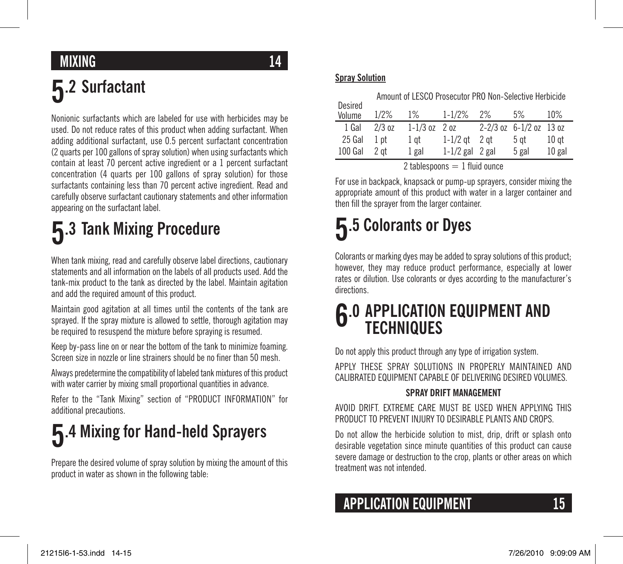### **mixing 14**

# **5.2 Surfactant**

Nonionic surfactants which are labeled for use with herbicides may be used. Do not reduce rates of this product when adding surfactant. When adding additional surfactant, use 0.5 percent surfactant concentration (2 quarts per 100 gallons of spray solution) when using surfactants which contain at least 70 percent active ingredient or a 1 percent surfactant concentration (4 quarts per 100 gallons of spray solution) for those surfactants containing less than 70 percent active ingredient. Read and carefully observe surfactant cautionary statements and other information appearing on the surfactant label.

# **5.3 Tank Mixing Procedure**

When tank mixing, read and carefully observe label directions, cautionary statements and all information on the labels of all products used. Add the tank-mix product to the tank as directed by the label. Maintain agitation and add the required amount of this product.

Maintain good agitation at all times until the contents of the tank are sprayed. If the spray mixture is allowed to settle, thorough agitation may be required to resuspend the mixture before spraying is resumed.

Keep by-pass line on or near the bottom of the tank to minimize foaming. Screen size in nozzle or line strainers should be no finer than 50 mesh.

Always predetermine the compatibility of labeled tank mixtures of this product with water carrier by mixing small proportional quantities in advance.

Refer to the "Tank Mixing" section of "PRODUCT INFORMATION" for additional precautions.

# **5.4 Mixing for Hand-held Sprayers**

Prepare the desired volume of spray solution by mixing the amount of this product in water as shown in the following table:

#### **Spray Solution**

| Desired |          | Amount of LESCO Prosecutor PRO Non-Selective Herbicide |                     |      |                             |                  |
|---------|----------|--------------------------------------------------------|---------------------|------|-----------------------------|------------------|
| Volume  | 1/2%     | 1%                                                     | $1 - 1/2%$          | 2%   | 5%                          | 10%              |
| 1 Gal   | $2/3$ oz | $1 - 1/3$ oz $2$ oz                                    |                     |      | $2 - 2/3$ oz 6-1/2 oz 13 oz |                  |
| 25 Gal  | 1 pt     | 1 at                                                   | $1-1/2$ at          | 2 at | 5 at                        | 10 <sub>gt</sub> |
| 100 Gal | 2 at     | 1 gal                                                  | $1-1/2$ gal $2$ gal |      | 5 gal                       | $10$ gal         |
|         |          | .                                                      | .                   |      |                             |                  |

2 tablespoons  $= 1$  fluid ounce

For use in backpack, knapsack or pump-up sprayers, consider mixing the appropriate amount of this product with water in a larger container and then fill the sprayer from the larger container.

# **5.5 Colorants or Dyes**

Colorants or marking dyes may be added to spray solutions of this product; however, they may reduce product performance, especially at lower rates or dilution. Use colorants or dyes according to the manufacturer's directions.

# **6.0 APPLICATION EQUIPMENT AND TECHNIQUES**

Do not apply this product through any type of irrigation system.

APPLY THESE SPRAY SOLUTIONS IN PROPERLY MAINTAINED AND CALIBRATED EQUIPMENT CAPABLE OF DELIVERING DESIRED VOLUMES.

### **SPRAY DRIFT MANAGEMENT**

AVOID DRIFT. EXTREME CARE MUST BE USED WHEN APPLYING THIS PRODUCT TO PREVENT INJURY TO DESIRABLE PLANTS AND CROPS.

Do not allow the herbicide solution to mist, drip, drift or splash onto desirable vegetation since minute quantities of this product can cause severe damage or destruction to the crop, plants or other areas on which treatment was not intended.

### **application equipment 15**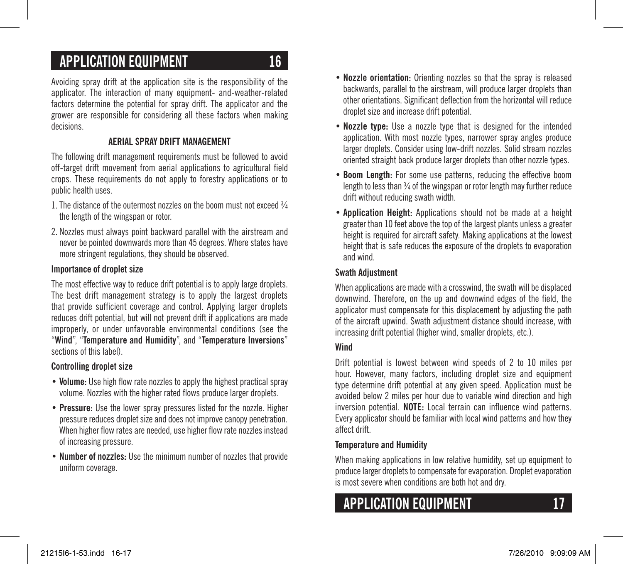Avoiding spray drift at the application site is the responsibility of the applicator. The interaction of many equipment- and-weather-related factors determine the potential for spray drift. The applicator and the grower are responsible for considering all these factors when making decisions.

#### **AERIAL SPRAY DRIFT MANAGEMENT**

The following drift management requirements must be followed to avoid off-target drift movement from aerial applications to agricultural field crops. These requirements do not apply to forestry applications or to public health uses.

- 1. The distance of the outermost nozzles on the boom must not exceed 3/4 the length of the wingspan or rotor.
- 2. Nozzles must always point backward parallel with the airstream and never be pointed downwards more than 45 degrees. Where states have more stringent regulations, they should be observed.

#### **Importance of droplet size**

The most effective way to reduce drift potential is to apply large droplets. The best drift management strategy is to apply the largest droplets that provide sufficient coverage and control. Applying larger droplets reduces drift potential, but will not prevent drift if applications are made improperly, or under unfavorable environmental conditions (see the "**Wind**", "**Temperature and Humidity**", and "**Temperature Inversions**" sections of this label).

#### **Controlling droplet size**

- �**Volume:** Use high flow rate nozzles to apply the highest practical spray volume. Nozzles with the higher rated flows produce larger droplets.
- �**Pressure:** Use the lower spray pressures listed for the nozzle. Higher pressure reduces droplet size and does not improve canopy penetration. When higher flow rates are needed, use higher flow rate nozzles instead of increasing pressure.
- �**Number of nozzles:** Use the minimum number of nozzles that provide uniform coverage.
- �**Nozzle orientation:** Orienting nozzles so that the spray is released backwards, parallel to the airstream, will produce larger droplets than other orientations. Significant deflection from the horizontal will reduce droplet size and increase drift potential.
- �**Nozzle type:** Use a nozzle type that is designed for the intended application. With most nozzle types, narrower spray angles produce larger droplets. Consider using low-drift nozzles. Solid stream nozzles oriented straight back produce larger droplets than other nozzle types.
- �**Boom Length:** For some use patterns, reducing the effective boom length to less than 3/4 of the wingspan or rotor length may further reduce drift without reducing swath width.
- �**Application Height:** Applications should not be made at a height greater than 10 feet above the top of the largest plants unless a greater height is required for aircraft safety. Making applications at the lowest height that is safe reduces the exposure of the droplets to evaporation and wind.

#### **Swath Adjustment**

When applications are made with a crosswind, the swath will be displaced downwind. Therefore, on the up and downwind edges of the field, the applicator must compensate for this displacement by adjusting the path of the aircraft upwind. Swath adjustment distance should increase, with increasing drift potential (higher wind, smaller droplets, etc.).

#### **Wind**

Drift potential is lowest between wind speeds of 2 to 10 miles per hour. However, many factors, including droplet size and equipment type determine drift potential at any given speed. Application must be avoided below 2 miles per hour due to variable wind direction and high inversion potential. **NOTE**: Local terrain can influence wind patterns. Every applicator should be familiar with local wind patterns and how they affect drift.

#### **Temperature and Humidity**

When making applications in low relative humidity, set up equipment to produce larger droplets to compensate for evaporation. Droplet evaporation is most severe when conditions are both hot and dry.

### **application equipment 17**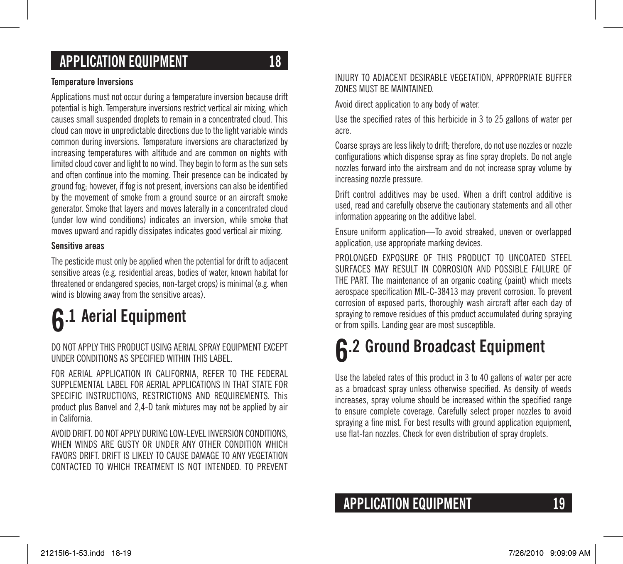#### **Temperature Inversions**

Applications must not occur during a temperature inversion because drift potential is high. Temperature inversions restrict vertical air mixing, which causes small suspended droplets to remain in a concentrated cloud. This cloud can move in unpredictable directions due to the light variable winds common during inversions. Temperature inversions are characterized by increasing temperatures with altitude and are common on nights with limited cloud cover and light to no wind. They begin to form as the sun sets and often continue into the morning. Their presence can be indicated by ground fog; however, if fog is not present, inversions can also be identified by the movement of smoke from a ground source or an aircraft smoke generator. Smoke that layers and moves laterally in a concentrated cloud (under low wind conditions) indicates an inversion, while smoke that moves upward and rapidly dissipates indicates good vertical air mixing.

#### **Sensitive areas**

The pesticide must only be applied when the potential for drift to adjacent sensitive areas (e.g. residential areas, bodies of water, known habitat for threatened or endangered species, non-target crops) is minimal (e.g. when wind is blowing away from the sensitive areas).

## **6.1 Aerial Equipment**

DO NOT APPLY THIS PRODUCT USING AERIAL SPRAY EQUIPMENT EXCEPT UNDER CONDITIONS AS SPECIFIED WITHIN THIS LABEL.

FOR AERIAL APPLICATION IN CALIFORNIA, REFER TO THE FEDERAL SUPPLEMENTAL LABEL FOR AERIAL APPLICATIONS IN THAT STATE FOR SPECIFIC INSTRUCTIONS, RESTRICTIONS AND REQUIREMENTS. This product plus Banvel and 2,4-D tank mixtures may not be applied by air in California.

AVOID DRIFT. DO NOT APPLY DURING LOW-LEVEL INVERSION CONDITIONS, WHEN WINDS ARE GUSTY OR UNDER ANY OTHER CONDITION WHICH FAVORS DRIFT. DRIFT IS LIKELY TO CAUSE DAMAGE TO ANY VEGETATION CONTACTED TO WHICH TREATMENT IS NOT INTENDED. TO PREVENT

#### INJURY TO ADJACENT DESIRABLE VEGETATION, APPROPRIATE BUFFER ZONES MUST BE MAINTAINED.

Avoid direct application to any body of water.

Use the specified rates of this herbicide in 3 to 25 gallons of water per acre.

Coarse sprays are less likely to drift; therefore, do not use nozzles or nozzle configurations which dispense spray as fine spray droplets. Do not angle nozzles forward into the airstream and do not increase spray volume by increasing nozzle pressure.

Drift control additives may be used. When a drift control additive is used, read and carefully observe the cautionary statements and all other information appearing on the additive label.

Ensure uniform application—To avoid streaked, uneven or overlapped application, use appropriate marking devices.

PROLONGED EXPOSURE OF THIS PRODUCT TO UNCOATED STEEL SURFACES MAY RESULT IN CORROSION AND POSSIBLE FAILURE OF THE PART. The maintenance of an organic coating (paint) which meets aerospace specification MIL-C-38413 may prevent corrosion. To prevent corrosion of exposed parts, thoroughly wash aircraft after each day of spraying to remove residues of this product accumulated during spraying or from spills. Landing gear are most susceptible.

## **6.2 Ground Broadcast Equipment**

Use the labeled rates of this product in 3 to 40 gallons of water per acre as a broadcast spray unless otherwise specified. As density of weeds increases, spray volume should be increased within the specified range to ensure complete coverage. Carefully select proper nozzles to avoid spraying a fine mist. For best results with ground application equipment, use flat-fan nozzles. Check for even distribution of spray droplets.

### **APPLICATION EQUIPMENT 19**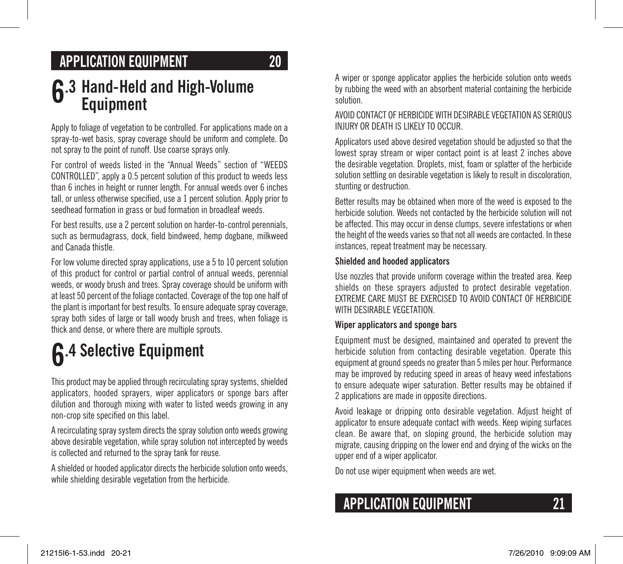# **6.3 Hand-Held and High-Volume Equipment**

Apply to foliage of vegetation to be controlled. For applications made on a spray-to-wet basis, spray coverage should be uniform and complete. Do not spray to the point of runoff. Use coarse sprays only.

For control of weeds listed in the "Annual Weeds" section of "WEEDS CONTROLLED", apply a 0.5 percent solution of this product to weeds less than 6 inches in height or runner length. For annual weeds over 6 inches tall, or unless otherwise specified, use a 1 percent solution. Apply prior to seedhead formation in grass or bud formation in broadleaf weeds.

For best results, use a 2 percent solution on harder-to-control perennials, such as bermudagrass, dock, field bindweed, hemp dogbane, milkweed and Canada thistle.

For low volume directed spray applications, use a 5 to 10 percent solution of this product for control or partial control of annual weeds, perennial weeds, or woody brush and trees. Spray coverage should be uniform with at least 50 percent of the foliage contacted. Coverage of the top one half of the plant is important for best results. To ensure adequate spray coverage, spray both sides of large or tall woody brush and trees, when foliage is thick and dense, or where there are multiple sprouts.

# **6.4 Selective Equipment**

This product may be applied through recirculating spray systems, shielded applicators, hooded sprayers, wiper applicators or sponge bars after dilution and thorough mixing with water to listed weeds growing in any non-crop site specified on this label.

A recirculating spray system directs the spray solution onto weeds growing above desirable vegetation, while spray solution not intercepted by weeds is collected and returned to the spray tank for reuse.

A shielded or hooded applicator directs the herbicide solution onto weeds, while shielding desirable vegetation from the herbicide.

A wiper or sponge applicator applies the herbicide solution onto weeds by rubbing the weed with an absorbent material containing the herbicide solution.

AVOID CONTACT OF HERBICIDE WITH DESIRABLE VEGETATION AS SERIOUS INJURY OR DEATH IS LIKELY TO OCCUR.

Applicators used above desired vegetation should be adjusted so that the lowest spray stream or wiper contact point is at least 2 inches above the desirable vegetation. Droplets, mist, foam or splatter of the herbicide solution settling on desirable vegetation is likely to result in discoloration, stunting or destruction.

Better results may be obtained when more of the weed is exposed to the herbicide solution. Weeds not contacted by the herbicide solution will not be affected. This may occur in dense clumps, severe infestations or when the height of the weeds varies so that not all weeds are contacted. In these instances, repeat treatment may be necessary.

#### **Shielded and hooded applicators**

Use nozzles that provide uniform coverage within the treated area. Keep shields on these sprayers adjusted to protect desirable vegetation. EXTREME CARE MUST BE EXERCISED TO AVOID CONTACT OF HERBICIDE WITH DESIRABLE VEGETATION.

#### **Wiper applicators and sponge bars**

Equipment must be designed, maintained and operated to prevent the herbicide solution from contacting desirable vegetation. Operate this equipment at ground speeds no greater than 5 miles per hour. Performance may be improved by reducing speed in areas of heavy weed infestations to ensure adequate wiper saturation. Better results may be obtained if 2 applications are made in opposite directions.

Avoid leakage or dripping onto desirable vegetation. Adjust height of applicator to ensure adequate contact with weeds. Keep wiping surfaces clean. Be aware that, on sloping ground, the herbicide solution may migrate, causing dripping on the lower end and drying of the wicks on the upper end of a wiper applicator.

Do not use wiper equipment when weeds are wet.

### **application equipment 21**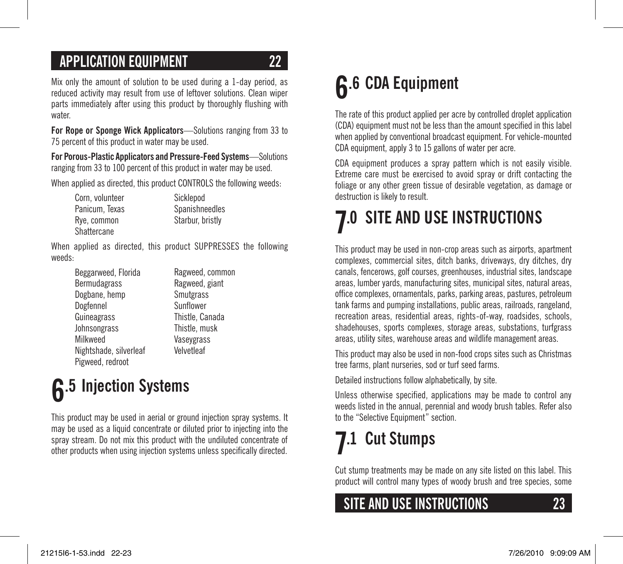Mix only the amount of solution to be used during a 1-day period, as reduced activity may result from use of leftover solutions. Clean wiper parts immediately after using this product by thoroughly flushing with water

**For Rope or Sponge Wick Applicators**—Solutions ranging from 33 to 75 percent of this product in water may be used.

**For Porous-Plastic Applicators and Pressure-Feed Systems**—Solutions ranging from 33 to 100 percent of this product in water may be used.

When applied as directed, this product CONTROLS the following weeds:

| Corn. volunteer |  |
|-----------------|--|
| Panicum. Texas  |  |
| Rve. common     |  |
| Shattercane     |  |

Sicklepod Spanishneedles Starbur, bristly

When applied as directed, this product SUPPRESSES the following weeds:

Beggarweed, Florida Bermudagrass Dogbane, hemp Dogfennel Guineagrass Johnsongrass Milkweed Nightshade, silverleaf Pigweed, redroot

Ragweed, common Ragweed, giant **Smutgrass** Sunflower Thistle, Canada Thistle, musk Vaseygrass Velvetleaf

# **6.5 Injection Systems**

This product may be used in aerial or ground injection spray systems. It may be used as a liquid concentrate or diluted prior to injecting into the spray stream. Do not mix this product with the undiluted concentrate of other products when using injection systems unless specifically directed.

# **6.6 CDA Equipment**

The rate of this product applied per acre by controlled droplet application (CDA) equipment must not be less than the amount specified in this label when applied by conventional broadcast equipment. For vehicle-mounted CDA equipment, apply 3 to 15 gallons of water per acre.

CDA equipment produces a spray pattern which is not easily visible. Extreme care must be exercised to avoid spray or drift contacting the foliage or any other green tissue of desirable vegetation, as damage or destruction is likely to result.

# **7.0 SITE AND USE INSTRUCTIONS**

This product may be used in non-crop areas such as airports, apartment complexes, commercial sites, ditch banks, driveways, dry ditches, dry canals, fencerows, golf courses, greenhouses, industrial sites, landscape areas, lumber yards, manufacturing sites, municipal sites, natural areas, office complexes, ornamentals, parks, parking areas, pastures, petroleum tank farms and pumping installations, public areas, railroads, rangeland, recreation areas, residential areas, rights-of-way, roadsides, schools, shadehouses, sports complexes, storage areas, substations, turfgrass areas, utility sites, warehouse areas and wildlife management areas.

This product may also be used in non-food crops sites such as Christmas tree farms, plant nurseries, sod or turf seed farms.

Detailed instructions follow alphabetically, by site.

Unless otherwise specified, applications may be made to control any weeds listed in the annual, perennial and woody brush tables. Refer also to the "Selective Equipment" section.

# **7.1 Cut Stumps**

Cut stump treatments may be made on any site listed on this label. This product will control many types of woody brush and tree species, some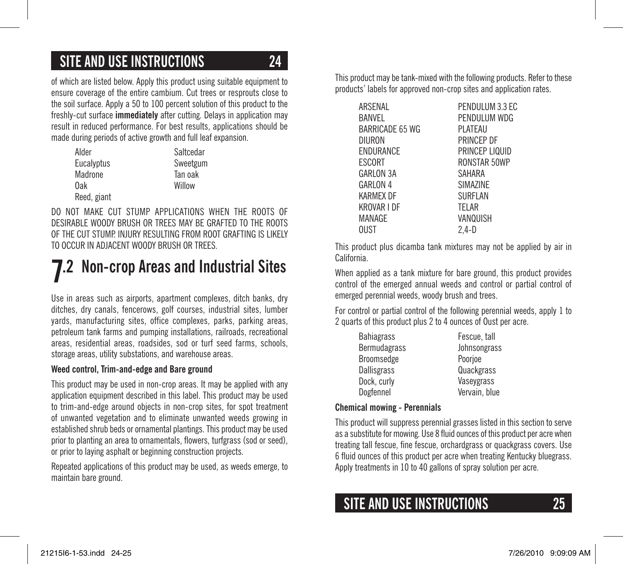of which are listed below. Apply this product using suitable equipment to ensure coverage of the entire cambium. Cut trees or resprouts close to the soil surface. Apply a 50 to 100 percent solution of this product to the freshly-cut surface **immediately** after cutting. Delays in application may result in reduced performance. For best results, applications should be made during periods of active growth and full leaf expansion.

| Alder       | Saltcedar |
|-------------|-----------|
| Eucalyptus  | Sweetgum  |
| Madrone     | Tan oak   |
| 0ak         | Willow    |
| Reed, giant |           |

DO NOT MAKE CUT STUMP APPLICATIONS WHEN THE ROOTS OF DESIRABLE WOODY BRUSH OR TREES MAY BE GRAFTED TO THE ROOTS OF THE CUT STUMP. INJURY RESULTING FROM ROOT GRAFTING IS LIKELY TO OCCUR IN ADJACENT WOODY BRUSH OR TREES.

## **7.2 Non-crop Areas and Industrial Sites**

Use in areas such as airports, apartment complexes, ditch banks, dry ditches, dry canals, fencerows, golf courses, industrial sites, lumber yards, manufacturing sites, office complexes, parks, parking areas, petroleum tank farms and pumping installations, railroads, recreational areas, residential areas, roadsides, sod or turf seed farms, schools, storage areas, utility substations, and warehouse areas.

#### **Weed control, Trim-and-edge and Bare ground**

This product may be used in non-crop areas. It may be applied with any application equipment described in this label. This product may be used to trim-and-edge around objects in non-crop sites, for spot treatment of unwanted vegetation and to eliminate unwanted weeds growing in established shrub beds or ornamental plantings. This product may be used prior to planting an area to ornamentals, flowers, turfgrass (sod or seed), or prior to laying asphalt or beginning construction projects.

Repeated applications of this product may be used, as weeds emerge, to maintain bare ground.

This product may be tank-mixed with the following products. Refer to these products' labels for approved non-crop sites and application rates.

| ARSENAL                | PENDULUM 3.3 EC |
|------------------------|-----------------|
| BANVEL                 | PENDULUM WDG    |
| <b>BARRICADE 65 WG</b> | PLATEAU         |
| DIURON                 | PRINCEP DF      |
| ENDURANCE              | PRINCEP LIQUID  |
| ESCORT                 | RONSTAR 50WP    |
| <b>GARLON 3A</b>       | SAHARA          |
| <b>GARLON 4</b>        | <b>SIMAZINE</b> |
| <b>KARMEX DF</b>       | <b>SURFLAN</b>  |
| <b>KROVAR I DF</b>     | TELAR           |
| MANAGE                 | VANQUISH        |
| <b>OUST</b>            | $2.4 - D$       |
|                        |                 |

This product plus dicamba tank mixtures may not be applied by air in California.

When applied as a tank mixture for bare ground, this product provides control of the emerged annual weeds and control or partial control of emerged perennial weeds, woody brush and trees.

For control or partial control of the following perennial weeds, apply 1 to 2 quarts of this product plus 2 to 4 ounces of Oust per acre.

| <b>Bahiagrass</b>  | Fescue, tall  |
|--------------------|---------------|
| Bermudagrass       | Johnsongrass  |
| Broomsedge         | Poorjoe       |
| <b>Dallisgrass</b> | Quackgrass    |
| Dock, curly        | Vaseygrass    |
| Dogfennel          | Vervain, blue |

#### **Chemical mowing - Perennials**

This product will suppress perennial grasses listed in this section to serve as a substitute for mowing. Use 8 fluid ounces of this product per acre when treating tall fescue, fine fescue, orchardgrass or quackgrass covers. Use 6 fluid ounces of this product per acre when treating Kentucky bluegrass. Apply treatments in 10 to 40 gallons of spray solution per acre.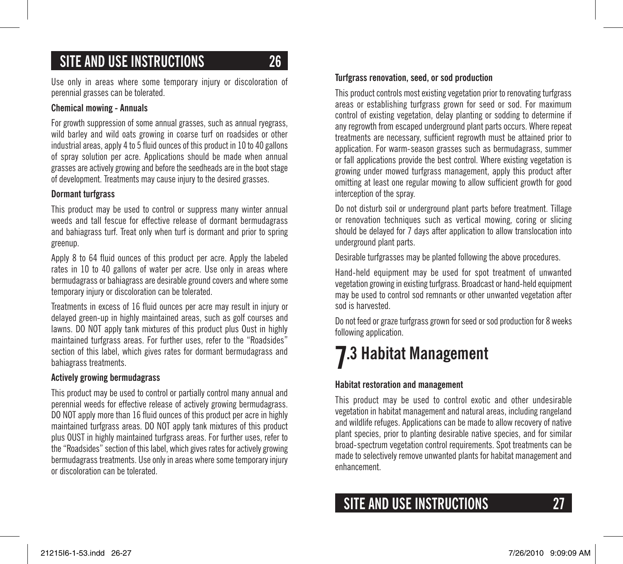Use only in areas where some temporary injury or discoloration of perennial grasses can be tolerated.

#### **Chemical mowing - Annuals**

For growth suppression of some annual grasses, such as annual ryegrass, wild barley and wild oats growing in coarse turf on roadsides or other industrial areas, apply 4 to 5 fluid ounces of this product in 10 to 40 gallons of spray solution per acre. Applications should be made when annual grasses are actively growing and before the seedheads are in the boot stage of development. Treatments may cause injury to the desired grasses.

#### **Dormant turfgrass**

This product may be used to control or suppress many winter annual weeds and tall fescue for effective release of dormant bermudagrass and bahiagrass turf. Treat only when turf is dormant and prior to spring greenup.

Apply 8 to 64 fluid ounces of this product per acre. Apply the labeled rates in 10 to 40 gallons of water per acre. Use only in areas where bermudagrass or bahiagrass are desirable ground covers and where some temporary injury or discoloration can be tolerated.

Treatments in excess of 16 fluid ounces per acre may result in injury or delayed green-up in highly maintained areas, such as golf courses and lawns. DO NOT apply tank mixtures of this product plus Oust in highly maintained turfgrass areas. For further uses, refer to the "Roadsides" section of this label, which gives rates for dormant bermudagrass and bahiagrass treatments.

#### **Actively growing bermudagrass**

This product may be used to control or partially control many annual and perennial weeds for effective release of actively growing bermudagrass. DO NOT apply more than 16 fluid ounces of this product per acre in highly maintained turfgrass areas. DO NOT apply tank mixtures of this product plus OUST in highly maintained turfgrass areas. For further uses, refer to the "Roadsides" section of this label, which gives rates for actively growing bermudagrass treatments. Use only in areas where some temporary injury or discoloration can be tolerated.

#### **Turfgrass renovation, seed, or sod production**

This product controls most existing vegetation prior to renovating turfgrass areas or establishing turfgrass grown for seed or sod. For maximum control of existing vegetation, delay planting or sodding to determine if any regrowth from escaped underground plant parts occurs. Where repeat treatments are necessary, sufficient regrowth must be attained prior to application. For warm-season grasses such as bermudagrass, summer or fall applications provide the best control. Where existing vegetation is growing under mowed turfgrass management, apply this product after omitting at least one regular mowing to allow sufficient growth for good interception of the spray.

Do not disturb soil or underground plant parts before treatment. Tillage or renovation techniques such as vertical mowing, coring or slicing should be delayed for 7 days after application to allow translocation into underground plant parts.

Desirable turfgrasses may be planted following the above procedures.

Hand-held equipment may be used for spot treatment of unwanted vegetation growing in existing turfgrass. Broadcast or hand-held equipment may be used to control sod remnants or other unwanted vegetation after sod is harvested.

Do not feed or graze turfgrass grown for seed or sod production for 8 weeks following application.

## **7.3 Habitat Management**

#### **Habitat restoration and management**

This product may be used to control exotic and other undesirable vegetation in habitat management and natural areas, including rangeland and wildlife refuges. Applications can be made to allow recovery of native plant species, prior to planting desirable native species, and for similar broad-spectrum vegetation control requirements. Spot treatments can be made to selectively remove unwanted plants for habitat management and enhancement.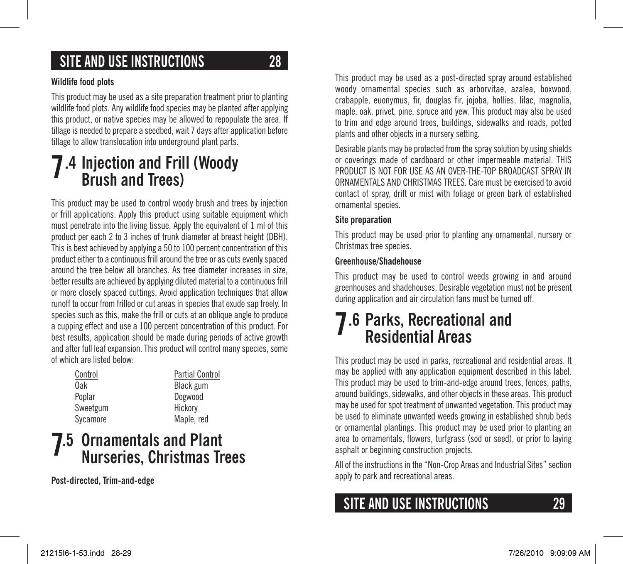#### **Wildlife food plots**

This product may be used as a site preparation treatment prior to planting wildlife food plots. Any wildlife food species may be planted after applying this product, or native species may be allowed to repopulate the area. If tillage is needed to prepare a seedbed, wait 7 days after application before tillage to allow translocation into underground plant parts.

# **7.4 Injection and Frill (Woody Brush and Trees)**

This product may be used to control woody brush and trees by injection or frill applications. Apply this product using suitable equipment which must penetrate into the living tissue. Apply the equivalent of 1 ml of this product per each 2 to 3 inches of trunk diameter at breast height (DBH). This is best achieved by applying a 50 to 100 percent concentration of this product either to a continuous frill around the tree or as cuts evenly spaced around the tree below all branches. As tree diameter increases in size, better results are achieved by applying diluted material to a continuous frill or more closely spaced cuttings. Avoid application techniques that allow runoff to occur from frilled or cut areas in species that exude sap freely. In species such as this, make the frill or cuts at an oblique angle to produce a cupping effect and use a 100 percent concentration of this product. For best results, application should be made during periods of active growth and after full leaf expansion. This product will control many species, some of which are listed below:

| Control  | <b>Partial Control</b> |  |  |
|----------|------------------------|--|--|
| 0ak      | Black gum              |  |  |
| Poplar   | Dogwood                |  |  |
| Sweetgum | Hickorv                |  |  |
| Sycamore | Maple, red             |  |  |
|          |                        |  |  |

# **7.5 Ornamentals and Plant Nurseries, Christmas Trees**

**Post-directed, Trim-and-edge**

This product may be used as a post-directed spray around established woody ornamental species such as arborvitae, azalea, boxwood, crabapple, euonymus, fir, douglas fir, jojoba, hollies, lilac, magnolia, maple, oak, privet, pine, spruce and yew. This product may also be used to trim and edge around trees, buildings, sidewalks and roads, potted plants and other objects in a nursery setting.

Desirable plants may be protected from the spray solution by using shields or coverings made of cardboard or other impermeable material. THIS PRODUCT IS NOT FOR USE AS AN OVER-THE-TOP BROADCAST SPRAY IN ORNAMENTALS AND CHRISTMAS TREES. Care must be exercised to avoid contact of spray, drift or mist with foliage or green bark of established ornamental species.

#### **Site preparation**

This product may be used prior to planting any ornamental, nursery or Christmas tree species.

#### **Greenhouse/Shadehouse**

This product may be used to control weeds growing in and around greenhouses and shadehouses. Desirable vegetation must not be present during application and air circulation fans must be turned off.

# **7.6 Parks, Recreational and Residential Areas**

This product may be used in parks, recreational and residential areas. It may be applied with any application equipment described in this label. This product may be used to trim-and-edge around trees, fences, paths, around buildings, sidewalks, and other objects in these areas. This product may be used for spot treatment of unwanted vegetation. This product may be used to eliminate unwanted weeds growing in established shrub beds or ornamental plantings. This product may be used prior to planting an area to ornamentals, flowers, turfgrass (sod or seed), or prior to laying asphalt or beginning construction projects.

All of the instructions in the "Non-Crop Areas and Industrial Sites" section apply to park and recreational areas.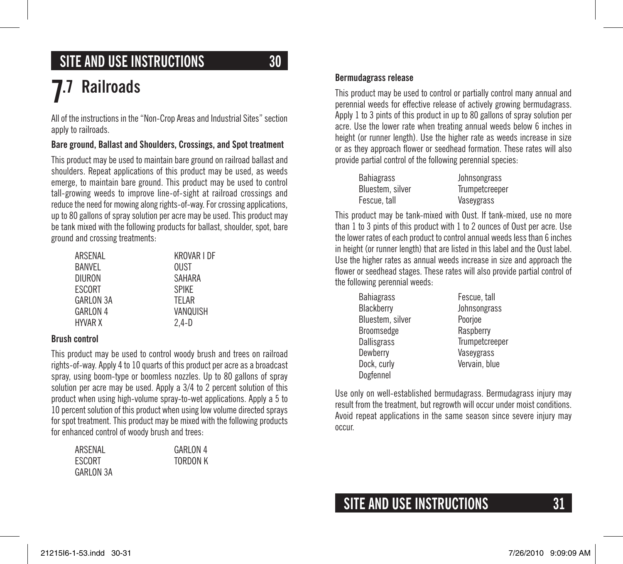# **7.7 Railroads**

All of the instructions in the "Non-Crop Areas and Industrial Sites" section apply to railroads.

#### **Bare ground, Ballast and Shoulders, Crossings, and Spot treatment**

This product may be used to maintain bare ground on railroad ballast and shoulders. Repeat applications of this product may be used, as weeds emerge, to maintain bare ground. This product may be used to control tall-growing weeds to improve line-of-sight at railroad crossings and reduce the need for mowing along rights-of-way. For crossing applications, up to 80 gallons of spray solution per acre may be used. This product may be tank mixed with the following products for ballast, shoulder, spot, bare ground and crossing treatments:

| ARSENAL          | <b>KROVAR I DF</b> |
|------------------|--------------------|
| RANVFI           | <b>OUST</b>        |
| DIURON           | SAHARA             |
| <b>ESCORT</b>    | <b>SPIKE</b>       |
| <b>GARLON 3A</b> | TFI AR             |
| GARLON 4         | VANOUISH           |
| <b>HYVAR X</b>   | $2.4 - D$          |

#### **Brush control**

This product may be used to control woody brush and trees on railroad rights-of-way. Apply 4 to 10 quarts of this product per acre as a broadcast spray, using boom-type or boomless nozzles. Up to 80 gallons of spray solution per acre may be used. Apply a 3/4 to 2 percent solution of this product when using high-volume spray-to-wet applications. Apply a 5 to 10 percent solution of this product when using low volume directed sprays for spot treatment. This product may be mixed with the following products for enhanced control of woody brush and trees:

| ARSENAL   | GARLON 4        |
|-----------|-----------------|
| ESCORT    | <b>TORDON K</b> |
| GARLON 3A |                 |

#### **Bermudagrass release**

This product may be used to control or partially control many annual and perennial weeds for effective release of actively growing bermudagrass. Apply 1 to 3 pints of this product in up to 80 gallons of spray solution per acre. Use the lower rate when treating annual weeds below 6 inches in height (or runner length). Use the higher rate as weeds increase in size or as they approach flower or seedhead formation. These rates will also provide partial control of the following perennial species:

| <b>Bahiagrass</b> | Johnsongrass   |  |
|-------------------|----------------|--|
| Bluestem, silver  | Trumpetcreeper |  |
| Fescue, tall      | Vaseygrass     |  |

This product may be tank-mixed with Oust. If tank-mixed, use no more than 1 to 3 pints of this product with 1 to 2 ounces of Oust per acre. Use the lower rates of each product to control annual weeds less than 6 inches in height (or runner length) that are listed in this label and the Oust label. Use the higher rates as annual weeds increase in size and approach the flower or seedhead stages. These rates will also provide partial control of the following perennial weeds:

| Fescue, tall   |
|----------------|
| Johnsongrass   |
| Poorjoe        |
| Raspberry      |
| Trumpetcreeper |
| Vaseygrass     |
| Vervain, blue  |
|                |

Use only on well-established bermudagrass. Bermudagrass injury may result from the treatment, but regrowth will occur under moist conditions. Avoid repeat applications in the same season since severe injury may occur.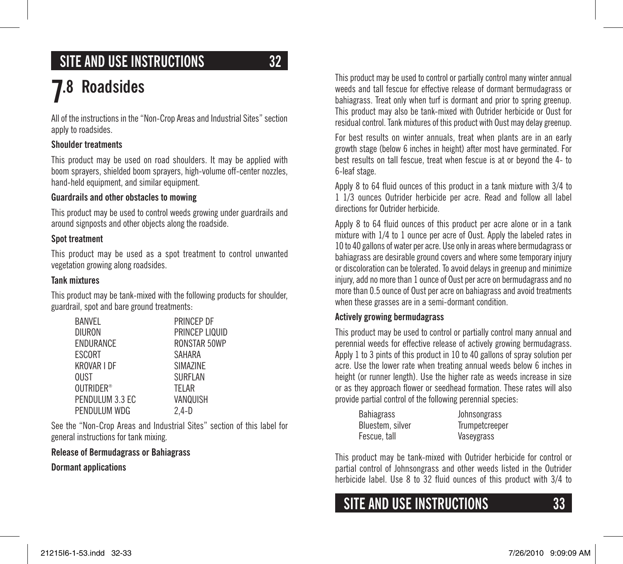# **7.8 Roadsides**

All of the instructions in the "Non-Crop Areas and Industrial Sites" section apply to roadsides.

#### **Shoulder treatments**

This product may be used on road shoulders. It may be applied with boom sprayers, shielded boom sprayers, high-volume off-center nozzles, hand-held equipment, and similar equipment.

#### **Guardrails and other obstacles to mowing**

This product may be used to control weeds growing under guardrails and around signposts and other objects along the roadside.

#### **Spot treatment**

This product may be used as a spot treatment to control unwanted vegetation growing along roadsides.

#### **Tank mixtures**

This product may be tank-mixed with the following products for shoulder, guardrail, spot and bare ground treatments:

| BANVEL             | PRINCEP DF      |
|--------------------|-----------------|
| DIURON             | PRINCEP LIQUID  |
| ENDURANCE          | RONSTAR 50WP    |
| ESCORT             | SAHARA          |
| <b>KROVAR I DF</b> | <b>SIMAZINE</b> |
| <b>OUST</b>        | SURFLAN         |
| OUTRIDER®          | TELAR           |
| PENDULUM 3.3 EC    | VANOUISH        |
| PENDULUM WDG       | $2.4 - D$       |

See the "Non-Crop Areas and Industrial Sites" section of this label for general instructions for tank mixing.

#### **Release of Bermudagrass or Bahiagrass**

#### **Dormant applications**

This product may be used to control or partially control many winter annual weeds and tall fescue for effective release of dormant bermudagrass or bahiagrass. Treat only when turf is dormant and prior to spring greenup. This product may also be tank-mixed with Outrider herbicide or Oust for residual control. Tank mixtures of this product with Oust may delay greenup.

For best results on winter annuals, treat when plants are in an early growth stage (below 6 inches in height) after most have germinated. For best results on tall fescue, treat when fescue is at or beyond the 4- to 6-leaf stage.

Apply 8 to 64 fluid ounces of this product in a tank mixture with 3/4 to 1 1/3 ounces Outrider herbicide per acre. Read and follow all label directions for Outrider herbicide.

Apply 8 to 64 fluid ounces of this product per acre alone or in a tank mixture with 1/4 to 1 ounce per acre of Oust. Apply the labeled rates in 10 to 40 gallons of water per acre. Use only in areas where bermudagrass or bahiagrass are desirable ground covers and where some temporary injury or discoloration can be tolerated. To avoid delays in greenup and minimize injury, add no more than 1 ounce of Oust per acre on bermudagrass and no more than 0.5 ounce of Oust per acre on bahiagrass and avoid treatments when these grasses are in a semi-dormant condition.

#### **Actively growing bermudagrass**

This product may be used to control or partially control many annual and perennial weeds for effective release of actively growing bermudagrass. Apply 1 to 3 pints of this product in 10 to 40 gallons of spray solution per acre. Use the lower rate when treating annual weeds below 6 inches in height (or runner length). Use the higher rate as weeds increase in size or as they approach flower or seedhead formation. These rates will also provide partial control of the following perennial species:

| Bahiagrass       | Johnsongrass   |
|------------------|----------------|
| Bluestem, silver | Trumpetcreeper |
| Fescue, tall     | Vaseygrass     |

This product may be tank-mixed with Outrider herbicide for control or partial control of Johnsongrass and other weeds listed in the Outrider herbicide label. Use 8 to 32 fluid ounces of this product with 3/4 to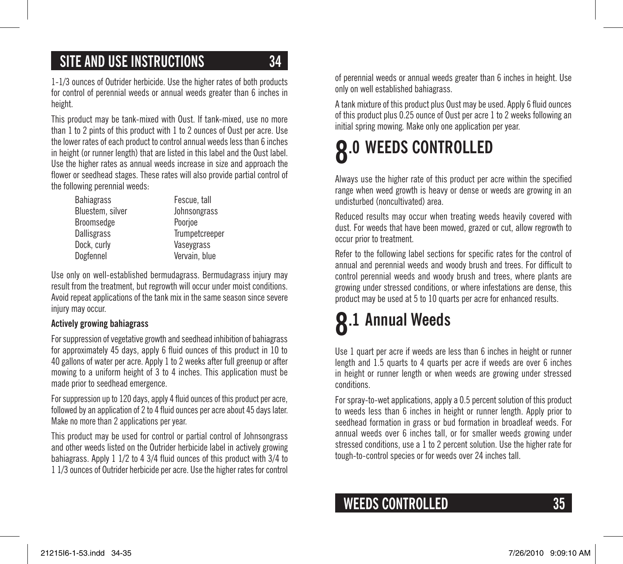1-1/3 ounces of Outrider herbicide. Use the higher rates of both products for control of perennial weeds or annual weeds greater than 6 inches in height.

This product may be tank-mixed with Oust. If tank-mixed, use no more than 1 to 2 pints of this product with 1 to 2 ounces of Oust per acre. Use the lower rates of each product to control annual weeds less than 6 inches in height (or runner length) that are listed in this label and the Oust label. Use the higher rates as annual weeds increase in size and approach the flower or seedhead stages. These rates will also provide partial control of the following perennial weeds:

| <b>Bahiagrass</b> | Fescue, tall   |
|-------------------|----------------|
| Bluestem, silver  | Johnsongrass   |
| Broomsedge        | Poorioe        |
| Dallisgrass       | Trumpetcreeper |
| Dock, curly       | Vaseygrass     |
| Dogfennel         | Vervain, blue  |

Use only on well-established bermudagrass. Bermudagrass injury may result from the treatment, but regrowth will occur under moist conditions. Avoid repeat applications of the tank mix in the same season since severe injury may occur.

#### **Actively growing bahiagrass**

For suppression of vegetative growth and seedhead inhibition of bahiagrass for approximately 45 days, apply 6 fluid ounces of this product in 10 to 40 gallons of water per acre. Apply 1 to 2 weeks after full greenup or after mowing to a uniform height of 3 to 4 inches. This application must be made prior to seedhead emergence.

For suppression up to 120 days, apply 4 fluid ounces of this product per acre, followed by an application of 2 to 4 fluid ounces per acre about 45 days later. Make no more than 2 applications per year.

This product may be used for control or partial control of Johnsongrass and other weeds listed on the Outrider herbicide label in actively growing bahiagrass. Apply 1 1/2 to 4 3/4 fluid ounces of this product with 3/4 to 1 1/3 ounces of Outrider herbicide per acre. Use the higher rates for control

of perennial weeds or annual weeds greater than 6 inches in height. Use only on well established bahiagrass.

A tank mixture of this product plus Oust may be used. Apply 6 fluid ounces of this product plus 0.25 ounce of Oust per acre 1 to 2 weeks following an initial spring mowing. Make only one application per year.

# **8.0 WEEDS CONTROLLED**

Always use the higher rate of this product per acre within the specified range when weed growth is heavy or dense or weeds are growing in an undisturbed (noncultivated) area.

Reduced results may occur when treating weeds heavily covered with dust. For weeds that have been mowed, grazed or cut, allow regrowth to occur prior to treatment.

Refer to the following label sections for specific rates for the control of annual and perennial weeds and woody brush and trees. For difficult to control perennial weeds and woody brush and trees, where plants are growing under stressed conditions, or where infestations are dense, this product may be used at 5 to 10 quarts per acre for enhanced results.

## **8.1 Annual Weeds**

Use 1 quart per acre if weeds are less than 6 inches in height or runner length and 1.5 quarts to 4 quarts per acre if weeds are over 6 inches in height or runner length or when weeds are growing under stressed conditions.

For spray-to-wet applications, apply a 0.5 percent solution of this product to weeds less than 6 inches in height or runner length. Apply prior to seedhead formation in grass or bud formation in broadleaf weeds. For annual weeds over 6 inches tall, or for smaller weeds growing under stressed conditions, use a 1 to 2 percent solution. Use the higher rate for tough-to-control species or for weeds over 24 inches tall.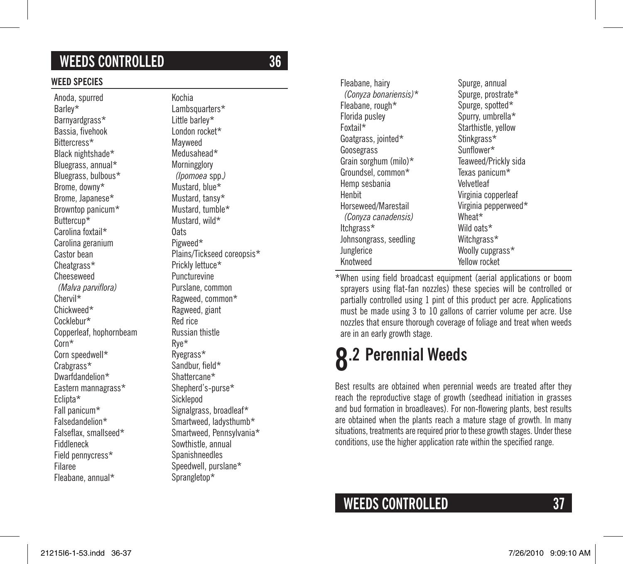#### **WEED SPECIES**

Anoda, spurred Barley\* Barnyardgrass\* Bassia, fivehook Bittercress\* Black nightshade\* Bluegrass, annual\* Bluegrass, bulbous\* Brome, downy\* Brome, Japanese\* Browntop panicum\* Buttercup\* Carolina foxtail\* Carolina geranium Castor bean Cheatgrass\* **Cheeseweed**  *(Malva parviflora)* Chervil\* Chickweed\* Cocklebur\* Copperleaf, hophornbeam Corn\* Corn speedwell\* Crabgrass\* Dwarfdandelion\* Eastern mannagrass\* Eclipta\* Fall panicum\* Falsedandelion\* Falseflax, smallseed\* Fiddleneck Field pennycress\* Filaree Fleabane, annual\*

Kochia Lambsquarters\* Little barley\* London rocket\* Mayweed Medusahead\* Morningglory *(Ipomoea* spp.*)* Mustard, blue\* Mustard, tansy\* Mustard, tumble\* Mustard, wild\* Oats Pigweed\* Plains/Tickseed coreopsis\* Prickly lettuce\* Puncturevine Purslane, common Ragweed, common\* Ragweed, giant Red rice Russian thistle Rye\* Ryegrass\* Sandbur, field\* Shattercane\* Shepherd's-purse\* Sicklepod Signalgrass, broadleaf\* Smartweed, ladysthumb\* Smartweed, Pennsylvania\* Sowthistle, annual Spanishneedles Speedwell, purslane\* Sprangletop\*

Fleabane, hairy *(Conyza bonariensis)*\* Fleabane, rough\* Florida pusley Foxtail\* Goatgrass, jointed\* Goosegrass Grain sorghum (milo)\* Groundsel, common\* Hemp sesbania Henbit Horseweed/Marestail *(Conyza canadensis)* Itchgrass\* Johnsongrass, seedling Junglerice Knotweed Wheat\*

Spurge, annual Spurge, prostrate\* Spurge, spotted\* Spurry, umbrella\* Starthistle, yellow Stinkgrass\* Sunflower\* Teaweed/Prickly sida Texas panicum\* Velvetleaf Virginia copperleaf Virginia pepperweed\* Wild oats\* Witchgrass\* Woolly cupgrass\* Yellow rocket

\*When using field broadcast equipment (aerial applications or boom sprayers using flat-fan nozzles) these species will be controlled or partially controlled using 1 pint of this product per acre. Applications must be made using 3 to 10 gallons of carrier volume per acre. Use nozzles that ensure thorough coverage of foliage and treat when weeds are in an early growth stage.

# **8.2 Perennial Weeds**

Best results are obtained when perennial weeds are treated after they reach the reproductive stage of growth (seedhead initiation in grasses and bud formation in broadleaves). For non-flowering plants, best results are obtained when the plants reach a mature stage of growth. In many situations, treatments are required prior to these growth stages. Under these conditions, use the higher application rate within the specified range.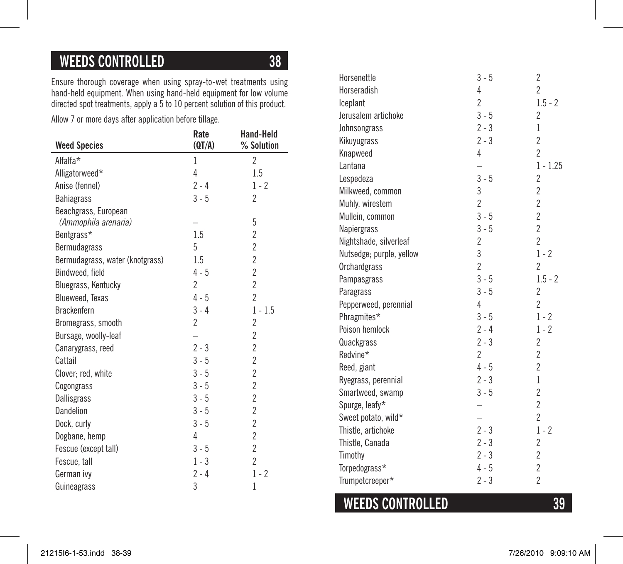Ensure thorough coverage when using spray-to-wet treatments using hand-held equipment. When using hand-held equipment for low volume directed spot treatments, apply a 5 to 10 percent solution of this product.

Allow 7 or more days after application before tillage.

| <b>Weed Species</b>             | Rate<br>(QT/A) | Hand-Held<br>% Solution |
|---------------------------------|----------------|-------------------------|
| Alfalfa*                        | 1              | $\overline{c}$          |
| Alligatorweed*                  | 4              | 1.5                     |
| Anise (fennel)                  | $2 - 4$        | $1 - 2$                 |
| <b>Bahiagrass</b>               | $3 - 5$        | $\overline{2}$          |
| Beachgrass, European            |                |                         |
| (Ammophila arenaria)            |                | 5                       |
| Bentgrass*                      | 1.5            | $\overline{2}$          |
| <b>Bermudagrass</b>             | 5              | $\overline{2}$          |
| Bermudagrass, water (knotgrass) | 1.5            | $\overline{c}$          |
| Bindweed, field                 | $4 - 5$        | $\overline{2}$          |
| Bluegrass, Kentucky             | 2              | $\overline{c}$          |
| Blueweed, Texas                 | $4 - 5$        | $\overline{c}$          |
| Brackenfern                     | $3 - 4$        | $1 - 1.5$               |
| Bromegrass, smooth              | $\overline{2}$ | $\overline{2}$          |
| Bursage, woolly-leaf            |                | $\overline{2}$          |
| Canarygrass, reed               | $2 - 3$        | $\overline{2}$          |
| Cattail                         | $3 - 5$        | $\overline{2}$          |
| Clover; red, white              | $3 - 5$        | $\overline{c}$          |
| Cogongrass                      | $3 - 5$        | $\overline{2}$          |
| Dallisgrass                     | $3 - 5$        | $\overline{2}$          |
| Dandelion                       | $3 - 5$        | $\overline{2}$          |
| Dock, curly                     | $3 - 5$        | $\overline{c}$          |
| Dogbane, hemp                   | 4              | $\overline{2}$          |
| Fescue (except tall)            | $3 - 5$        | $\overline{2}$          |
| Fescue, tall                    | $1 - 3$        | $\overline{c}$          |
| German ivy                      | $2 - 4$        | $1 - 2$                 |
| Guineagrass                     | 3              | 1                       |

| Horsenettle              | $3 - 5$                  | 2              |
|--------------------------|--------------------------|----------------|
| Horseradish              | 4                        | $\overline{2}$ |
| Iceplant                 | $\overline{2}$           | $1.5 - 2$      |
| Jerusalem artichoke      | $3 - 5$                  | 2              |
| Johnsongrass             | $2 - 3$                  | $\mathbf 1$    |
| Kikuyugrass              | $2 - 3$                  | $\overline{c}$ |
| Knapweed                 | 4                        | $\overline{2}$ |
| Lantana                  |                          | $1 - 1.25$     |
| Lespedeza                | $3 - 5$                  | $\overline{c}$ |
| Milkweed, common         | 3                        | $\overline{c}$ |
| Muhly, wirestem          | $\overline{c}$           | $\overline{2}$ |
| Mullein, common          | $3 - 5$                  | $\overline{c}$ |
| Napiergrass              | $3 - 5$                  | $\overline{c}$ |
| Nightshade, silverleaf   | $\overline{c}$           | $\overline{2}$ |
| Nutsedge; purple, yellow | 3                        | $1 - 2$        |
| Orchardgrass             | $\overline{2}$           | 2              |
| Pampasgrass              | $3 - 5$                  | $1.5 - 2$      |
| Paragrass                | $3 - 5$                  | $\overline{2}$ |
| Pepperweed, perennial    | 4                        | $\overline{c}$ |
| Phragmites*              | $3 - 5$                  | $1 - 2$        |
| Poison hemlock           | $2 - 4$                  | $1 - 2$        |
| Quackgrass               | $2 - 3$                  | $\overline{c}$ |
| Redvine*                 | $\overline{c}$           | $\overline{c}$ |
| Reed, giant              | $4 - 5$                  | $\overline{2}$ |
| Ryegrass, perennial      | $2 - 3$                  | $\mathbf{1}$   |
| Smartweed, swamp         | $3 - 5$                  | $\overline{c}$ |
| Spurge, leafy*           | $\overline{\phantom{0}}$ | $\overline{2}$ |
| Sweet potato, wild*      |                          | $\overline{2}$ |
| Thistle, artichoke       | $2 - 3$                  | $1 - 2$        |
| Thistle, Canada          | $2 - 3$                  | $\overline{2}$ |
| Timothy                  | $2 - 3$                  | $\overline{c}$ |
| Torpedograss*            | $4 - 5$                  | $\overline{c}$ |
| Trumpetcreeper*          | $2 - 3$                  | $\overline{2}$ |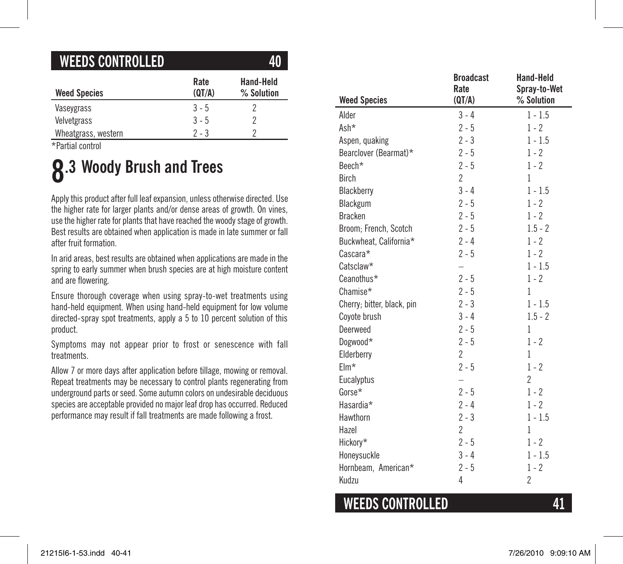| <b>Weed Species</b> | Rate<br>(QT/A) | Hand-Held<br>% Solution |
|---------------------|----------------|-------------------------|
| Vaseygrass          | $3 - 5$        |                         |
| Velvetgrass         | $3 - 5$        |                         |
| Wheatgrass, western | $2 - 3$        |                         |
| $\cdots$            |                |                         |

\*Partial control

## **8.3 Woody Brush and Trees**

Apply this product after full leaf expansion, unless otherwise directed. Use the higher rate for larger plants and/or dense areas of growth. On vines, use the higher rate for plants that have reached the woody stage of growth. Best results are obtained when application is made in late summer or fall after fruit formation.

In arid areas, best results are obtained when applications are made in the spring to early summer when brush species are at high moisture content and are flowering.

Ensure thorough coverage when using spray-to-wet treatments using hand-held equipment. When using hand-held equipment for low volume directed-spray spot treatments, apply a 5 to 10 percent solution of this product.

Symptoms may not appear prior to frost or senescence with fall **treatments** 

Allow 7 or more days after application before tillage, mowing or removal. Repeat treatments may be necessary to control plants regenerating from underground parts or seed. Some autumn colors on undesirable deciduous species are acceptable provided no major leaf drop has occurred. Reduced performance may result if fall treatments are made following a frost.

| <b>Weed Species</b>        | <b>Broadcast</b><br>Rate<br>(QT/A) | Hand-Held<br>Spray-to-Wet<br>% Solution |
|----------------------------|------------------------------------|-----------------------------------------|
|                            |                                    |                                         |
| Alder<br>Ash*              | $3 - 4$<br>$2 - 5$                 | $1 - 1.5$                               |
|                            |                                    | $1 - 2$                                 |
| Aspen, quaking             | $2 - 3$                            | $1 - 1.5$                               |
| Bearclover (Bearmat)*      | $2 - 5$                            | $1 - 2$                                 |
| Beech*                     | $2 - 5$                            | $1 - 2$                                 |
| Birch                      | $\overline{c}$                     | 1                                       |
| Blackberry                 | $3 - 4$                            | $1 - 1.5$                               |
| Blackgum                   | $2 - 5$                            | $1 - 2$                                 |
| <b>Bracken</b>             | $2 - 5$                            | $1 - 2$                                 |
| Broom; French, Scotch      | $2 - 5$                            | $1.5 - 2$                               |
| Buckwheat. California*     | $2 - 4$                            | $1 - 2$                                 |
| Cascara*                   | $2 - 5$                            | $1 - 2$                                 |
| Catsclaw*                  | $\overline{\phantom{0}}$           | $1 - 1.5$                               |
| Ceanothus*                 | $2 - 5$                            | $1 - 2$                                 |
| Chamise*                   | $2 - 5$                            | $\mathbf{1}$                            |
| Cherry; bitter, black, pin | $2 - 3$                            | $1 - 1.5$                               |
| Coyote brush               | $3 - 4$                            | $1.5 - 2$                               |
| Deerweed                   | $2 - 5$                            | $\mathbf{1}$                            |
| Dogwood*                   | $2 - 5$                            | $1 - 2$                                 |
| Elderberry                 | $\overline{c}$                     | 1                                       |
| $EIm*$                     | $2 - 5$                            | $1 - 2$                                 |
| Eucalyptus                 | $\overline{\phantom{0}}$           | $\overline{2}$                          |
| Gorse*                     | $2 - 5$                            | $1 - 2$                                 |
| Hasardia*                  | $2 - 4$                            | $1 - 2$                                 |
| Hawthorn                   | $2 - 3$                            | $1 - 1.5$                               |
| Hazel                      | $\overline{2}$                     | 1                                       |
| Hickory*                   | $2 - 5$                            | $1 - 2$                                 |
| Honeysuckle                | $3 - 4$                            | $1 - 1.5$                               |
| Hornbeam, American*        | $2 - 5$                            | $1 - 2$                                 |
| Kudzu                      | 4                                  | $\overline{2}$                          |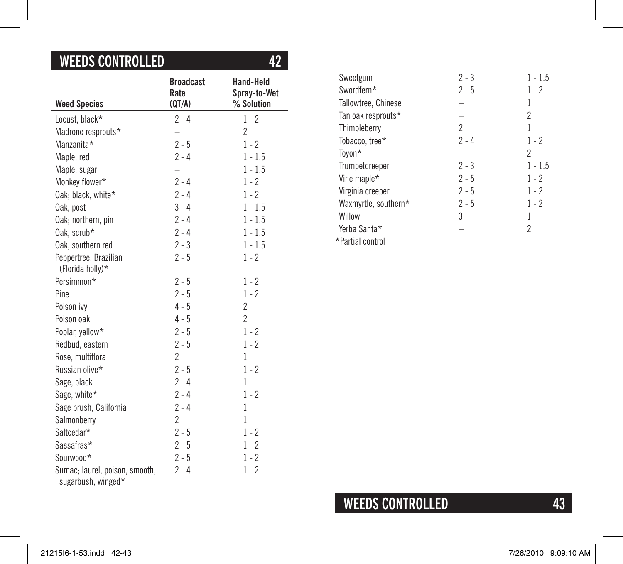| <b>Weed Species</b>                                  | <b>Broadcast</b><br>Rate<br>(QT/A) | Hand-Held<br>Spray-to-Wet<br>% Solution |
|------------------------------------------------------|------------------------------------|-----------------------------------------|
| Locust, black*                                       | $2 - 4$                            | $1 - 2$                                 |
| Madrone resprouts*                                   |                                    | 2                                       |
| Manzanita*                                           | $2 - 5$                            | $1 - 2$                                 |
| Maple, red                                           | $2 - 4$                            | $1 - 1.5$                               |
| Maple, sugar                                         |                                    | $1 - 1.5$                               |
| Monkey flower*                                       | $2 - 4$                            | $1 - 2$                                 |
| Oak; black, white*                                   | $2 - 4$                            | $1 - 2$                                 |
| Oak, post                                            | $3 - 4$                            | $1 - 1.5$                               |
| Oak; northern, pin                                   | $2 - 4$                            | $1 - 1.5$                               |
| Oak, scrub*                                          | $2 - 4$                            | $1 - 1.5$                               |
| Oak, southern red                                    | $2 - 3$                            | $1 - 1.5$                               |
| Peppertree, Brazilian<br>(Florida holly)*            | $2 - 5$                            | $1 - 2$                                 |
| Persimmon*                                           | $2 - 5$                            | $1 - 2$                                 |
| Pine                                                 | $2 - 5$                            | $1 - 2$                                 |
| Poison ivy                                           | $4 - 5$                            | $\overline{2}$                          |
| Poison oak                                           | $4 - 5$                            | $\overline{2}$                          |
| Poplar, yellow*                                      | $2 - 5$                            | $1 - 2$                                 |
| Redbud, eastern                                      | $2 - 5$                            | $1 - 2$                                 |
| Rose, multiflora                                     | $\overline{2}$                     | 1                                       |
| Russian olive*                                       | $2 - 5$                            | $1 - 2$                                 |
| Sage, black                                          | $2 - 4$                            | 1                                       |
| Sage, white*                                         | $2 - 4$                            | $1 - 2$                                 |
| Sage brush, California                               | $2 - 4$                            | 1                                       |
| Salmonberry                                          | $\overline{2}$                     | 1                                       |
| Saltcedar*                                           | $2 - 5$                            | $1 - 2$                                 |
| Sassafras*                                           | $2 - 5$                            | $1 - 2$                                 |
| Sourwood*                                            | $2 - 5$                            | $1 - 2$                                 |
| Sumac; laurel, poison, smooth,<br>sugarbush, winged* | $2 - 4$                            | $1 - 2$                                 |

| Sweetgum             | $2 - 3$ | $1 - 1.5$ |
|----------------------|---------|-----------|
| Swordfern*           | $2 - 5$ | $1 - 2$   |
| Tallowtree, Chinese  |         |           |
| Tan oak resprouts*   |         | 2         |
| Thimbleberry         | 2       |           |
| Tobacco, tree*       | $2 - 4$ | $1 - 2$   |
| Toyon*               |         | 2         |
| Trumpetcreeper       | $2 - 3$ | $1 - 1.5$ |
| Vine maple*          | $2 - 5$ | $1 - 2$   |
| Virginia creeper     | $2 - 5$ | $1 - 2$   |
| Waxmyrtle, southern* | $2 - 5$ | $1 - 2$   |
| Willow               | 3       |           |
| Yerba Santa*         |         | 2         |
| .                    |         |           |

\*Partial control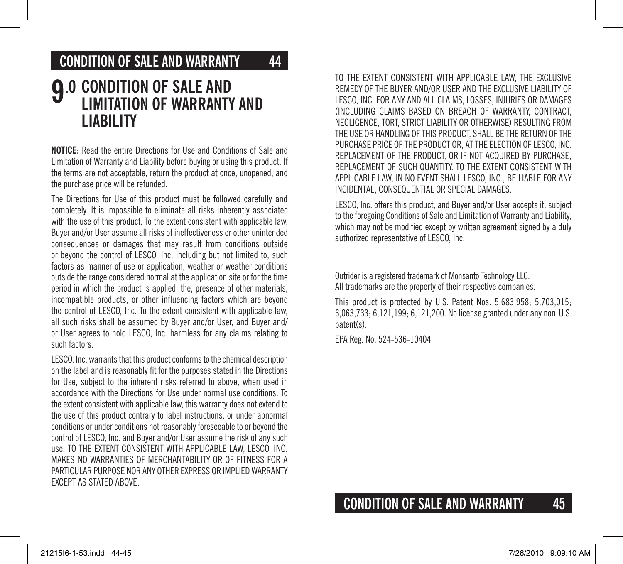### **CONDITION OF SALE and WARRANTY 44**

# **9.0 condition of sale and LIMITation OF WARRANTY AND LIABILITY**

**NOTICE:** Read the entire Directions for Use and Conditions of Sale and Limitation of Warranty and Liability before buying or using this product. If the terms are not acceptable, return the product at once, unopened, and the purchase price will be refunded.

The Directions for Use of this product must be followed carefully and completely. It is impossible to eliminate all risks inherently associated with the use of this product. To the extent consistent with applicable law, Buyer and/or User assume all risks of ineffectiveness or other unintended consequences or damages that may result from conditions outside or beyond the control of LESCO, Inc. including but not limited to, such factors as manner of use or application, weather or weather conditions outside the range considered normal at the application site or for the time period in which the product is applied, the, presence of other materials, incompatible products, or other influencing factors which are beyond the control of LESCO, Inc. To the extent consistent with applicable law, all such risks shall be assumed by Buyer and/or User, and Buyer and/ or User agrees to hold LESCO, Inc. harmless for any claims relating to such factors.

LESCO, Inc. warrants that this product conforms to the chemical description on the label and is reasonably fit for the purposes stated in the Directions for Use, subject to the inherent risks referred to above, when used in accordance with the Directions for Use under normal use conditions. To the extent consistent with applicable law, this warranty does not extend to the use of this product contrary to label instructions, or under abnormal conditions or under conditions not reasonably foreseeable to or beyond the control of LESCO, Inc. and Buyer and/or User assume the risk of any such use. TO THE EXTENT CONSISTENT WITH APPLICABLE LAW, LESCO, INC. MAKES NO WARRANTIES OF MERCHANTABILITY OR OF FITNESS FOR A PARTICULAR PURPOSE NOR ANY OTHER EXPRESS OR IMPLIED WARRANTY EXCEPT AS STATED ABOVE.

TO THE EXTENT CONSISTENT WITH APPLICABLE LAW, THE EXCLUSIVE REMEDY OF THE BUYER AND/OR USER AND THE EXCLUSIVE LIABILITY OF LESCO, INC. FOR ANY AND ALL CLAIMS, LOSSES, INJURIES OR DAMAGES (INCLUDING CLAIMS BASED ON BREACH OF WARRANTY, CONTRACT, NEGLIGENCE, TORT, STRICT LIABILITY OR OTHERWISE) RESULTING FROM THE USE OR HANDLING OF THIS PRODUCT, SHALL BE THE RETURN OF THE PURCHASE PRICE OF THE PRODUCT OR, AT THE ELECTION OF LESCO, INC. REPLACEMENT OF THE PRODUCT, OR IF NOT ACQUIRED BY PURCHASE, REPLACEMENT OF SUCH QUANTITY. TO THE EXTENT CONSISTENT WITH APPLICABLE LAW, IN NO EVENT SHALL LESCO, INC., BE LIABLE FOR ANY INCIDENTAL, CONSEQUENTIAL OR SPECIAL DAMAGES.

LESCO, Inc. offers this product, and Buyer and/or User accepts it, subject to the foregoing Conditions of Sale and Limitation of Warranty and Liability, which may not be modified except by written agreement signed by a duly authorized representative of LESCO, Inc.

Outrider is a registered trademark of Monsanto Technology LLC. All trademarks are the property of their respective companies.

This product is protected by U.S. Patent Nos. 5,683,958; 5,703,015; 6,063,733; 6,121,199; 6,121,200. No license granted under any non-U.S. patent(s).

EPA Reg. No. 524-536-10404

### **CONDITION OF SALE and WARRANTY 45**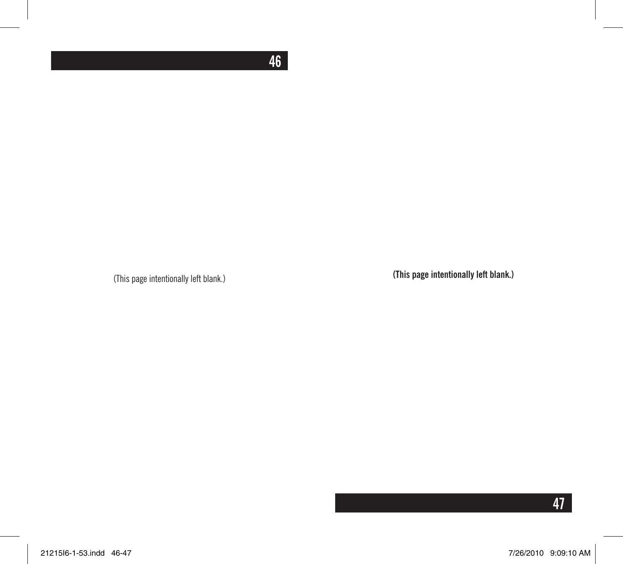**46**

**(This page intentionally left blank.)** (This page intentionally left blank.)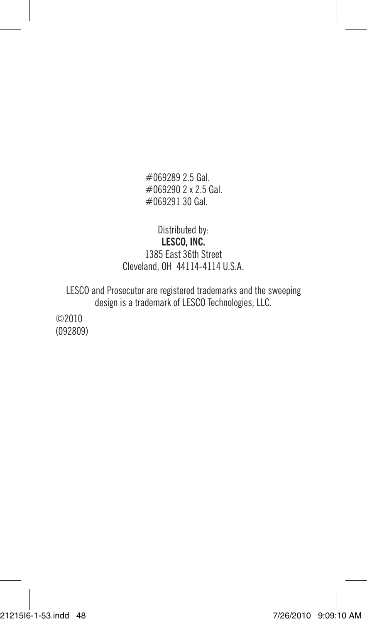#069289 2.5 Gal. #069290 2 x 2.5 Gal. #069291 30 Gal.

#### Distributed by: **LESCO, INC.**

1385 East 36th Street Cleveland, OH 44114-4114 U.S.A.

LESCO and Prosecutor are registered trademarks and the sweeping design is a trademark of LESCO Technologies, LLC.

©2010 (092809)